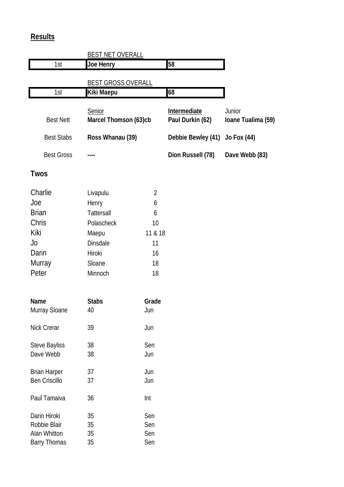## **Results**

|                   | <b>BEST NET OVERALL</b>                |                                         |                              |
|-------------------|----------------------------------------|-----------------------------------------|------------------------------|
| 1st               | <b>Joe Henry</b>                       | 58                                      |                              |
|                   | <b>BEST GROSS OVERALL</b>              |                                         |                              |
| 1st               | <b>Kiki Maepu</b>                      | 68                                      |                              |
| <b>Best Nett</b>  | Senior<br><b>Marcel Thomson (63)cb</b> | <b>Intermediate</b><br>Paul Durkin (62) | Junior<br>Ioane Tualima (59) |
| <b>Best Stabs</b> | Ross Whanau (39)                       | Debbie Bewley (41) Jo Fox (44)          |                              |
| <b>Best Gross</b> |                                        | Dion Russell (78)                       | Dave Webb (83)               |

## **Twos**

| Charlie      | Livapulu          | $\overline{2}$ |
|--------------|-------------------|----------------|
| Joe          | Henry             | 6              |
| <b>Brian</b> | <b>Tattersall</b> | 6              |
| Chris        | Polascheck        | 10             |
| Kiki         | Maepu             | 11 & 18        |
| Jo           | <b>Dinsdale</b>   | 11             |
| Darin        | Hiroki            | 16             |
| Murray       | Sloane            | 18             |
| Peter        | Minnoch           | 18             |
|              |                   |                |

| <b>Name</b>          | <b>Stabs</b> | Grade |
|----------------------|--------------|-------|
| <b>Murray Sloane</b> | 40           | Jun   |
| <b>Nick Crerar</b>   | 39           | Jun   |
| <b>Steve Bayliss</b> | 38           | Sen   |
| Dave Webb            | 38           | Jun   |
| <b>Brian Harper</b>  | 37           | Jun   |
| <b>Ben Criscillo</b> | 37           | Jun   |
| Paul Tamaiva         | 36           | Int   |
| Darin Hiroki         | 35           | Sen   |
| Robbie Blair         | 35           | Sen   |
| <b>Alan Whitton</b>  | 35           | Sen   |
| <b>Barry Thomas</b>  | 35           | Sen   |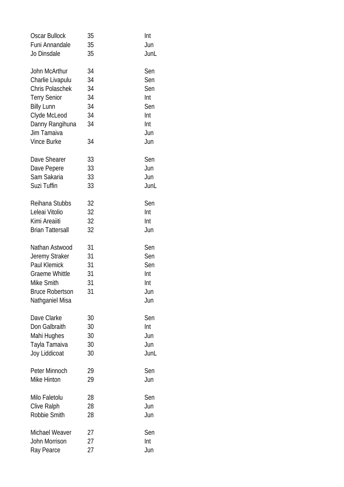| <b>Oscar Bullock</b>                                                                                                                                                            | 35                                           | Int                                                         |
|---------------------------------------------------------------------------------------------------------------------------------------------------------------------------------|----------------------------------------------|-------------------------------------------------------------|
| Funi Annandale                                                                                                                                                                  | 35                                           | Jun                                                         |
| Jo Dinsdale                                                                                                                                                                     | 35                                           | JunL                                                        |
| John McArthur<br>Charlie Livapulu<br><b>Chris Polaschek</b><br><b>Terry Senior</b><br><b>Billy Lunn</b><br>Clyde McLeod<br>Danny Rangihuna<br>Jim Tamaiva<br><b>Vince Burke</b> | 34<br>34<br>34<br>34<br>34<br>34<br>34<br>34 | Sen<br>Sen<br>Sen<br>Int<br>Sen<br>Int<br>Int<br>Jun<br>Jun |
| Dave Shearer                                                                                                                                                                    | 33                                           | Sen                                                         |
| Dave Pepere                                                                                                                                                                     | 33                                           | Jun                                                         |
| Sam Sakaria                                                                                                                                                                     | 33                                           | Jun                                                         |
| Suzi Tuffin                                                                                                                                                                     | 33                                           | JunL                                                        |
| Reihana Stubbs                                                                                                                                                                  | 32                                           | Sen                                                         |
| Leleai Vitolio                                                                                                                                                                  | 32                                           | Int                                                         |
| Kimi Areaiiti                                                                                                                                                                   | 32                                           | Int                                                         |
| <b>Brian Tattersall</b>                                                                                                                                                         | 32                                           | Jun                                                         |
| Nathan Astwood<br>Jeremy Straker<br><b>Paul Klemick</b><br><b>Graeme Whittle</b><br>Mike Smith<br><b>Bruce Robertson</b><br>Nathganiel Misa                                     | 31<br>31<br>31<br>31<br>31<br>31             | Sen<br>Sen<br>Sen<br>Int<br>Int<br>Jun<br>Jun               |
| Dave Clarke                                                                                                                                                                     | 30                                           | Sen                                                         |
| Don Galbraith                                                                                                                                                                   | 30                                           | Int                                                         |
| Mahi Hughes                                                                                                                                                                     | 30                                           | Jun                                                         |
| Tayla Tamaiva                                                                                                                                                                   | 30                                           | Jun                                                         |
| Joy Liddicoat                                                                                                                                                                   | 30                                           | JunL                                                        |
| Peter Minnoch                                                                                                                                                                   | 29                                           | Sen                                                         |
| Mike Hinton                                                                                                                                                                     | 29                                           | Jun                                                         |
| Milo Faletolu                                                                                                                                                                   | 28                                           | Sen                                                         |
| <b>Clive Ralph</b>                                                                                                                                                              | 28                                           | Jun                                                         |
| Robbie Smith                                                                                                                                                                    | 28                                           | Jun                                                         |
| <b>Michael Weaver</b>                                                                                                                                                           | 27                                           | Sen                                                         |
| John Morrison                                                                                                                                                                   | 27                                           | Int                                                         |
| Ray Pearce                                                                                                                                                                      | 27                                           | Jun                                                         |